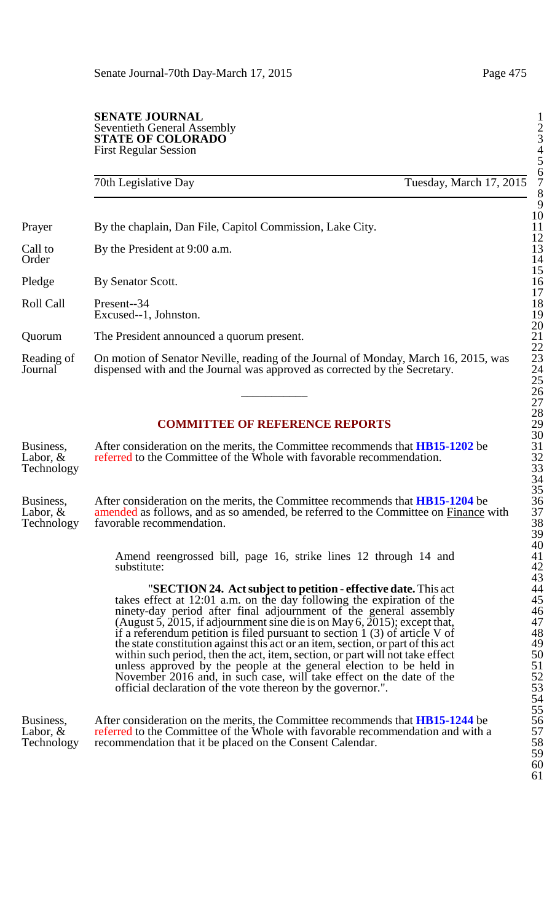#### **SENATE JOURNAL** Seventieth General Assembly 2 **STATE OF COLORADO** First Regular Session 4

70th Legislative Day Tuesday, March 17, 2015

Prayer By the chaplain, Dan File, Capitol Commission, Lake City.

Call to By the President at 9:00 a.m.<br>Order Order 14

Pledge By Senator Scott.

Roll Call Present--34 18 Excused--1, Johnston.

Quorum The President announced a quorum present.

Reading of On motion of Senator Neville, reading of the Journal of Monday, March 16, 2015, was dispensed with and the Journal was approved as corrected by the Secretary. dispensed with and the Journal was approved as corrected by the Secretary.  $\frac{25}{26}$ 

## **COMMITTEE OF REFERENCE REPORTS**

Business, After consideration on the merits, the Committee recommends that **HB15-1202** be 31 Labor,  $\&$  referred to the Committee of the Whole with favorable recommendation.  $32$ **Technology** 

Business, After consideration on the merits, the Committee recommends that **HB15-1204** be 36 Labor,  $\&$  amended as follows, and as so amended, be referred to the Committee on Finance with 37 Technology 38 favorable recommendation.

> Amend reengrossed bill, page 16, strike lines 12 through 14 and substitute:

**"SECTION 24. Act subject to petition - effective date.** This act takes effect at  $12:01$  a.m. on the day following the expiration of the ninety-day period after final adjournment of the general assembly 46 (August 5, 2015, if adjournment sine die is on May 6, 2015); except that,  $47$ if a referendum petition is filed pursuant to section  $1(3)$  of article V of the state constitution against this act or an item, section, or part of this act 49 within such period, then the act, item, section, or part will not take effect unless approved by the people at the general election to be held in 51 November 2016 and, in such case, will take effect on the date of the 52 official declaration of the vote thereon by the governor.". 53

Business, After consideration on the merits, the Committee recommends that **HB15-1244** be 56 Labor,  $\&$  referred to the Committee of the Whole with favorable recommendation and with a 57 Technology recommendation that it be placed on the Consent Calendar. 58 After consideration on the merits, the Committee recommends that **HB15-1244** be referred to the Committee of the Whole with favorable recommendation and with a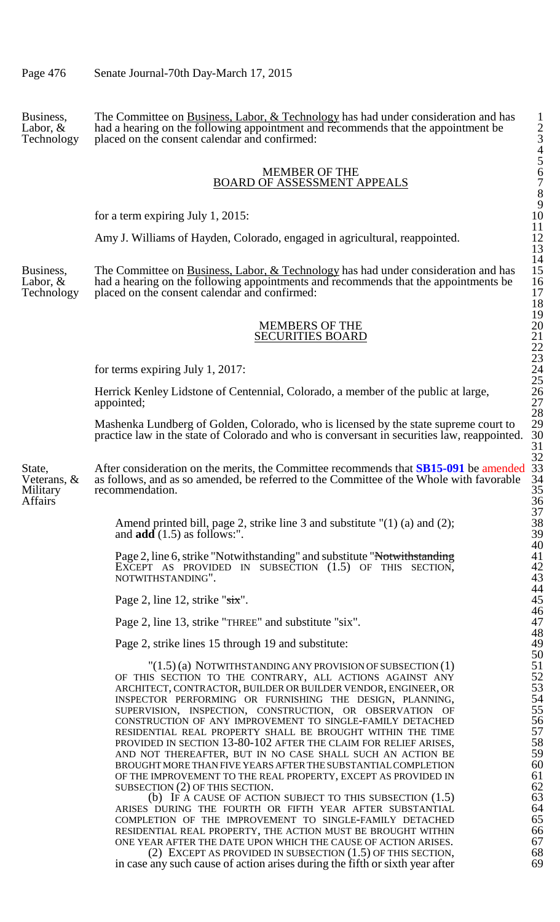Business, The Committee on Business, Labor, & Technology has had under consideration and has 1 Labor,  $\&$  had a hearing on the following appointment and recommends that the appointment be  $\qquad$  2 Technology placed on the consent calendar and confirmed: 3

#### MEMBER OF THE BOARD OF ASSESSMENT APPEALS

for a term expiring July 1, 2015:

Amy J. Williams of Hayden, Colorado, engaged in agricultural, reappointed.

Business, The Committee on Business, Labor, & Technology has had under consideration and has 15 Labor,  $\&$  had a hearing on the following appointments and recommends that the appointments be 16 Technology placed on the consent calendar and confirmed: 17 and 17

#### MEMBERS OF THE SECURITIES BOARD

for terms expiring July 1, 2017:

Herrick Kenley Lidstone of Centennial, Colorado, a member of the public at large, appointed;

Mashenka Lundberg of Golden, Colorado, who is licensed by the state supreme court to practice law in the state of Colorado and who is conversant in securities law, reappointed.

State, After consideration on the merits, the Committee recommends that **SB15-091** be amended 33 Veterans,  $\&$  as follows, and as so amended, be referred to the Committee of the Whole with favorable 34 Military recommendation. 35 Affairs<sup>3</sup> and the set of the set of the set of the set of the set of the set of the set of the set of the set of the set of the set of the set of the set of the set of the set of the set of the set of the set of the set o

> Amend printed bill, page 2, strike line 3 and substitute "(1) (a) and (2); 38 and  $\text{add}(1.5)$  as follows:".  $\qquad \qquad 39$

Page 2, line 6, strike "Notwithstanding" and substitute "Notwithstanding" EXCEPT AS PROVIDED IN SUBSECTION  $(1.5)$  OF THIS SECTION, NOTWITHSTANDING".

Page 2, line 12, strike " $s$ ix".

Page 2, line 13, strike "THREE" and substitute "six".

Page 2, strike lines 15 through 19 and substitute:

 $"(1.5)$  (a) NOTWITHSTANDING ANY PROVISION OF SUBSECTION  $(1)$ OF THIS SECTION TO THE CONTRARY, ALL ACTIONS AGAINST ANY ARCHITECT, CONTRACTOR, BUILDER OR BUILDER VENDOR, ENGINEER, OR 53 INSPECTOR PERFORMING OR FURNISHING THE DESIGN, PLANNING, SUPERVISION, INSPECTION, CONSTRUCTION, OR OBSERVATION OF CONSTRUCTION OF ANY IMPROVEMENT TO SINGLE-FAMILY DETACHED RESIDENTIAL REAL PROPERTY SHALL BE BROUGHT WITHIN THE TIME PROVIDED IN SECTION 13-80-102 AFTER THE CLAIM FOR RELIEF ARISES, AND NOT THEREAFTER, BUT IN NO CASE SHALL SUCH AN ACTION BE **59**<br>BROUGHT MORE THAN FIVE YEARS AFTER THE SUBSTANTIAL COMPLETION **60** BROUGHT MORE THAN FIVE YEARS AFTER THE SUBSTANTIAL COMPLETION 60<br>OF THE IMPROVEMENT TO THE REAL PROPERTY, EXCEPT AS PROVIDED IN 61 OF THE IMPROVEMENT TO THE REAL PROPERTY, EXCEPT AS PROVIDED IN 61<br>SUBSECTION (2) OF THIS SECTION. 62

SUBSECTION (2) OF THIS SECTION.<br>
(b) IF A CAUSE OF ACTION SUBJECT TO THIS SUBSECTION (1.5) 63 (b) IF A CAUSE OF ACTION SUBJECT TO THIS SUBSECTION (1.5) 63<br>DURING THE FOURTH OR FIFTH YEAR AFTER SUBSTANTIAL 64 ARISES DURING THE FOURTH OR FIFTH YEAR AFTER SUBSTANTIAL 64<br>COMPLETION OF THE IMPROVEMENT TO SINGLE-FAMILY DETACHED 65 COMPLETION OF THE IMPROVEMENT TO SINGLE-FAMILY DETACHED 65<br>RESIDENTIAL REAL PROPERTY, THE ACTION MUST BE BROUGHT WITHIN 66 RESIDENTIAL REAL PROPERTY, THE ACTION MUST BE BROUGHT WITHIN 666<br>ONE YEAR AFTER THE DATE UPON WHICH THE CAUSE OF ACTION ARISES. 67 ONE YEAR AFTER THE DATE UPON WHICH THE CAUSE OF ACTION ARISES. 67<br>(2) EXCEPT AS PROVIDED IN SUBSECTION (1.5) OF THIS SECTION. 68

(2) EXCEPT AS PROVIDED IN SUBSECTION  $(1.5)$  OF THIS SECTION, 68 any such cause of action arises during the fifth or sixth vear after 69 in case any such cause of action arises during the fifth or sixth year after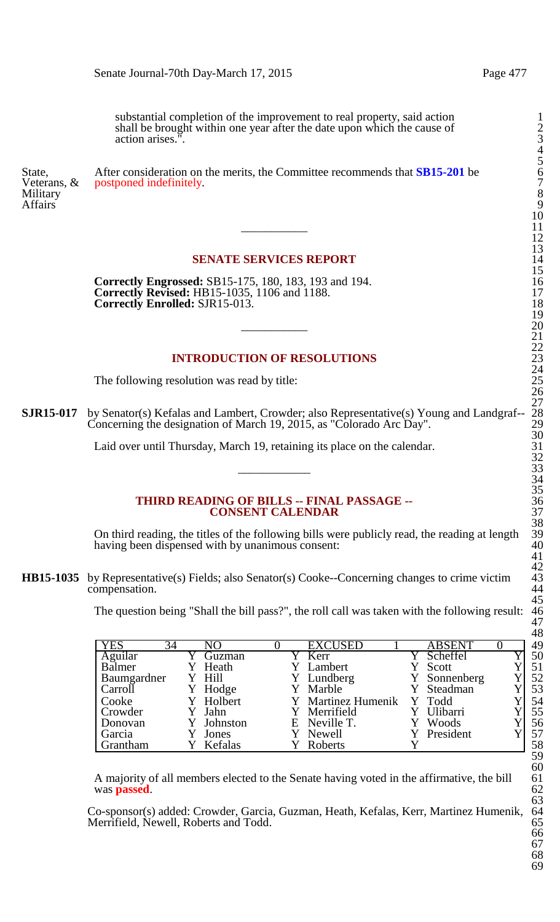substantial completion of the improvement to real property, said action 1 shall be brought within one year after the date upon which the cause of action arises.

Affairs<sup>3</sup> 9

State, After consideration on the merits, the Committee recommends that **SB15-201** be 6 Veterans, & postponed indefinitely. The 7 set of  $\sim$  7 Military 2012 **1999** 8

## **SENATE SERVICES REPORT**

**Correctly Engrossed:** SB15-175, 180, 183, 193 and 194. **Correctly Revised:** HB15-1035, 1106 and 1188. **Correctly Enrolled:** SJR15-013.

## **INTRODUCTION OF RESOLUTIONS**

The following resolution was read by title:

**SJR15-017** by Senator(s) Kefalas and Lambert, Crowder; also Representative(s) Young and Landgraf-- 28 Concerning the designation of March 19, 2015, as "Colorado Arc Day".  $\sim$  29

> Laid over until Thursday, March 19, retaining its place on the calendar.  $\frac{32}{33}$

#### **THIRD READING OF BILLS -- FINAL PASSAGE --CONSENT CALENDAR**

On third reading, the titles of the following bills were publicly read, the reading at length 39 having been dispensed with by unanimous consent:

**HB15-1035** by Representative(s) Fields; also Senator(s) Cooke--Concerning changes to crime victim compensation.

The question being "Shall the bill pass?", the roll call was taken with the following result: 46

|                 |    |           |  |                    | <b>ABSENT</b> |  | 49 |
|-----------------|----|-----------|--|--------------------|---------------|--|----|
| <b>YES</b>      | 34 | NO        |  | <b>EXCUSED</b>     |               |  |    |
| Aguilar         |    | Guzman    |  | Y Kerr             | Scheffel      |  | 50 |
| Balmer          |    | Heath     |  | Y Lambert          | Scott         |  | 51 |
| Baumgardner     |    | Y Hill    |  | Y Lundberg         | Y Sonnenberg  |  | 52 |
| Carroll         |    | Y Hodge   |  | Y Marble           | Y Steadman    |  | 53 |
| Cooke           |    | Y Holbert |  | Y Martinez Humenik | Y Todd        |  | 54 |
| Crowder         |    | Jahn      |  | Y Merrifield       | Ulibarri      |  | 55 |
| Donovan         |    | Johnston  |  | E Neville T.       | Woods         |  | 56 |
| Garcia          |    | Jones     |  | Y Newell           | Y President   |  | 57 |
| <b>Grantham</b> |    | Kefalas   |  | Roberts            |               |  | 58 |

A majority of all members elected to the Senate having voted in the affirmative, the bill 61 was **passed**.

Co-sponsor(s) added: Crowder, Garcia, Guzman, Heath, Kefalas, Kerr, Martinez Humenik, 64 Merrifield, Newell, Roberts and Todd.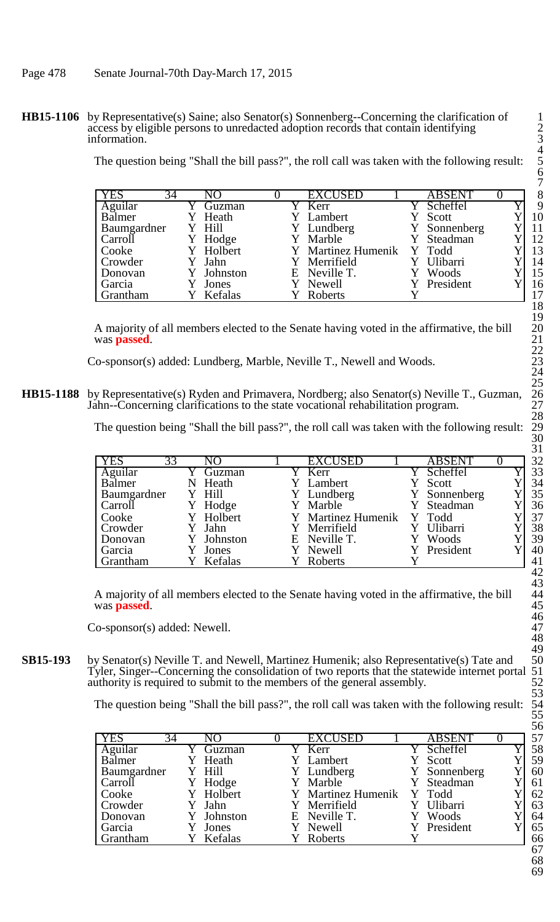**HB15-1106** by Representative(s) Saine; also Senator(s) Sonnenberg--Concerning the clarification of access by eligible persons to unredacted adoption records that contain identifying 2 information.

The question being "Shall the bill pass?", the roll call was taken with the following result: 5

| <b>YES</b><br>34 | NО        |  | <b>EXCUSED</b>            | <b>ABSENT</b> |  | 8  |
|------------------|-----------|--|---------------------------|---------------|--|----|
| Aguilar          | Guzman    |  | Y Kerr                    | Scheffel      |  | 9  |
| Balmer           | Heath     |  | Y Lambert                 | Scott         |  | 10 |
| Baumgardner      | Y Hill    |  | Y Lundberg                | Y Sonnenberg  |  | 11 |
| Carroll          | Y Hodge   |  | Y Marble                  | Y Steadman    |  | 12 |
| Cooke            | Y Holbert |  | Y Martinez Humenik Y Todd |               |  | 13 |
| Crowder          | Jahn      |  | Y Merrifield              | Ulibarri      |  | 14 |
| Donovan          | Johnston  |  | E Neville T.              | Woods         |  | 15 |
| Garcia           | Jones     |  | Y Newell                  | Y President   |  | 16 |
| <b>Grantham</b>  | Kefalas   |  | Roberts                   |               |  | 17 |

A majority of all members elected to the Senate having voted in the affirmative, the bill was **passed**.

Co-sponsor(s) added: Lundberg, Marble, Neville T., Newell and Woods.

**HB15-1188** by Representative(s) Ryden and Primavera, Nordberg; also Senator(s) Neville T., Guzman, Jahn--Concerning clarifications to the state vocational rehabilitation program. 27

The question being "Shall the bill pass?", the roll call was taken with the following result:

|                  |   |            |  |                     |               |  | ◡▴ |
|------------------|---|------------|--|---------------------|---------------|--|----|
| <b>YES</b><br>33 |   | NO         |  | <b>EXCUSED</b>      | <b>ABSENT</b> |  | 32 |
| Aguilar          |   | Guzman     |  | $\overline{Y}$ Kerr | Y Scheffel    |  | 33 |
| Balmer           | N | Heath      |  | Y Lambert           | Y Scott       |  | 34 |
| Baumgardner      |   | Y Hill     |  | Y Lundberg          | Y Sonnenberg  |  | 35 |
| Carroll          |   | Hodge      |  | Y Marble            | Y Steadman    |  | 36 |
| Cooke            |   | Y Holbert  |  | Y Martinez Humenik  | Y Todd        |  | 37 |
| Crowder          |   | Y Jahn     |  | Y Merrifield        | Ulibarri      |  | 38 |
| Donovan          |   | Y Johnston |  | E Neville T.        | Woods         |  | 39 |
| Garcia           |   | Jones      |  | Y Newell            | Y President   |  | 40 |
| <b>Grantham</b>  |   | Kefalas    |  | Roberts             |               |  | 41 |

A majority of all members elected to the Senate having voted in the affirmative, the bill 44 was **passed**. 45

Co-sponsor(s) added: Newell.

**SB15-193** by Senator(s) Neville T. and Newell, Martinez Humenik; also Representative(s) Tate and Tyler, Singer--Concerning the consolidation of two reports that the statewide internet portal 51 authority is required to submit to the members of the general assembly.

The question being "Shall the bill pass?", the roll call was taken with the following result:

| <b>YES</b><br>34 | NO        |  | <b>EXCUSED</b>      | <b>ABSENT</b> |  | 57 |
|------------------|-----------|--|---------------------|---------------|--|----|
| Aguilar          | Guzman    |  | $\overline{Y}$ Kerr | Y Scheffel    |  | 58 |
| Balmer           | Heath     |  | Lambert             | Scott         |  | 59 |
| Baumgardner      | Y Hill    |  | Y Lundberg          | Y Sonnenberg  |  | 60 |
| Carroll          | Hodge     |  | Y Marble            | Steadman      |  | 61 |
| Cooke            | Y Holbert |  | Y Martinez Humenik  | Y Todd        |  | 62 |
| Crowder          | Jahn      |  | Y Merrifield        | Ulibarri      |  | 63 |
| Donovan          | Johnston  |  | E Neville T.        | Woods         |  | 64 |
| Garcia           | Jones     |  | Newell              | President     |  | 65 |
| <b>Grantham</b>  | Kefalas   |  | Roberts             |               |  | 66 |
|                  |           |  |                     |               |  | 67 |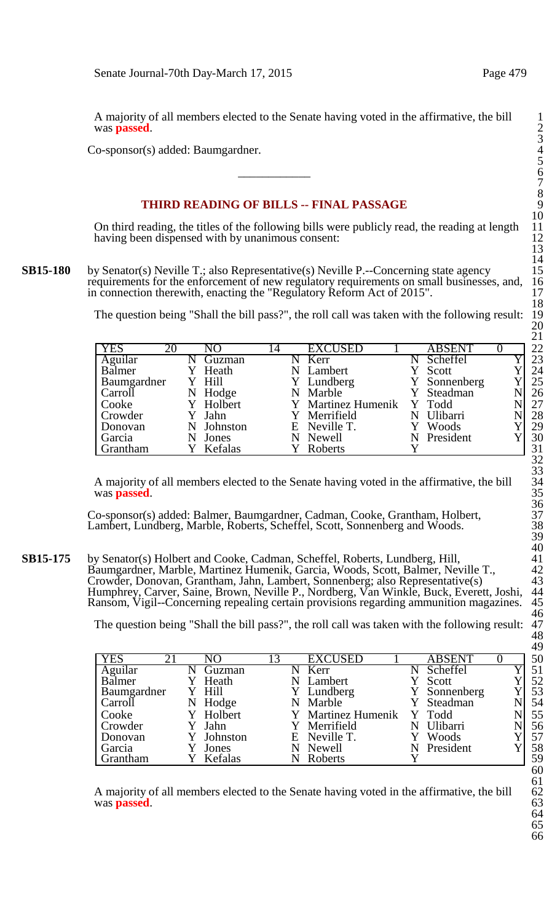A majority of all members elected to the Senate having voted in the affirmative, the bill 1 was **passed**. 2

Co-sponsor(s) added: Baumgardner. 4

# **THIRD READING OF BILLS -- FINAL PASSAGE**

On third reading, the titles of the following bills were publicly read, the reading at length 11 having been dispensed with by unanimous consent:

**SB15-180** by Senator(s) Neville T.; also Representative(s) Neville P.--Concerning state agency requirements for the enforcement of new regulatory requirements on small businesses, and, in connection therewith, enacting the "Regulatory Reform Act of 2015".

The question being "Shall the bill pass?", the roll call was taken with the following result:

|         |                                                               |         |                                                                                                             |          |                                                               | ▰  |
|---------|---------------------------------------------------------------|---------|-------------------------------------------------------------------------------------------------------------|----------|---------------------------------------------------------------|----|
| NΟ      | $\overline{4}$                                                | EXCUSED |                                                                                                             | ABSENT   |                                                               | 22 |
| Guzman  |                                                               |         |                                                                                                             | Scheffel |                                                               | 23 |
| Heath   |                                                               |         |                                                                                                             | Scott    |                                                               | 24 |
|         |                                                               |         |                                                                                                             |          |                                                               | 25 |
|         |                                                               |         |                                                                                                             |          |                                                               | 26 |
|         |                                                               |         |                                                                                                             |          |                                                               | 27 |
|         |                                                               |         |                                                                                                             |          |                                                               | 28 |
|         |                                                               |         |                                                                                                             | Woods    |                                                               | 29 |
|         |                                                               |         |                                                                                                             |          |                                                               | 30 |
| Kefalas |                                                               | Roberts |                                                                                                             |          |                                                               | 31 |
|         | Y Hill<br>N Hodge<br>Y Holbert<br>Y Jahn<br>Johnston<br>Jones |         | Kerr<br>Lambert<br>Y Lundberg<br>N Marble<br>Y Martinez Humenik<br>Y Merrifield<br>E Neville T.<br>N Newell |          | Y Sonnenberg<br>Steadman<br>Y Todd<br>Ulibarri<br>N President |    |

A majority of all members elected to the Senate having voted in the affirmative, the bill was **passed**.

Co-sponsor(s) added: Balmer, Baumgardner, Cadman, Cooke, Grantham, Holbert, 37 Lambert, Lundberg, Marble, Roberts, Scheffel, Scott, Sonnenberg and Woods.

**SB15-175** by Senator(s) Holbert and Cooke, Cadman, Scheffel, Roberts, Lundberg, Hill, Baumgardner, Marble, Martinez Humenik, Garcia, Woods, Scott, Balmer, Neville T., 42 Crowder, Donovan, Grantham, Jahn, Lambert, Sonnenberg; also Representative(s) 43 Humphrey, Carver, Saine, Brown, Neville P., Nordberg, Van Winkle, Buck, Everett, Joshi, 44 Ransom, Vigil--Concerning repealing certain provisions regarding ammunition magazines. 45

The question being "Shall the bill pass?", the roll call was taken with the following result:

|                  |   |            |    |   |                           |   |               |  | $\sim$ |
|------------------|---|------------|----|---|---------------------------|---|---------------|--|--------|
| <b>YES</b><br>21 |   | NО         | 13 |   | <b>EXCUSED</b>            |   | <b>ABSENT</b> |  | 50     |
| Aguilar          |   | Guzman     |    |   | Kerr                      |   | Scheffel      |  | 51     |
| Balmer           |   | Heath      |    |   | N Lambert                 |   | Scott         |  | 52     |
| Baumgardner      |   | Y Hill     |    |   | Y Lundberg                |   | Y Sonnenberg  |  | 53     |
| Carroll          | N | Hodge      |    |   | N Marble                  |   | Y Steadman    |  | 54     |
| Cooke            |   | Y Holbert  |    |   | Y Martinez Humenik Y Todd |   |               |  | 55     |
| <b>Crowder</b>   |   | Jahn       |    |   | Y Merrifield              | N | Ulibarri      |  | 56     |
| Donovan          |   | Y Johnston |    |   | E Neville T.              |   | Woods         |  | 57     |
| Garcia           |   | Jones      |    | N | Newell                    | N | President     |  | 58     |
| Grantham         |   | Y Kefalas  |    |   | Roberts                   |   |               |  | 59     |

A majority of all members elected to the Senate having voted in the affirmative, the bill was **passed**.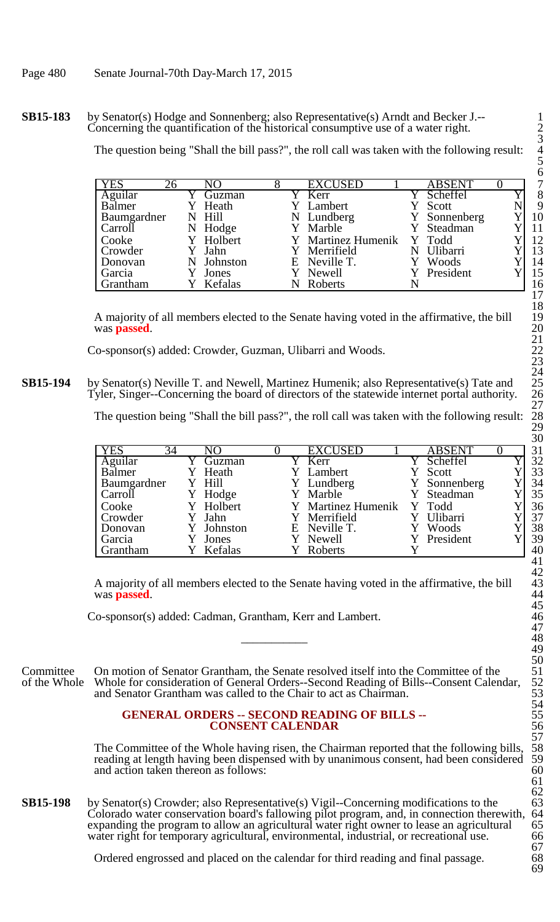#### **SB15-183** by Senator(s) Hodge and Sonnenberg; also Representative(s) Arndt and Becker J.--Concerning the quantification of the historical consumptive use of a water right. 2

The question being "Shall the bill pass?", the roll call was taken with the following result: 4

| <b>YES</b>  | 26 | $\overline{N}O$ |  | <b>EXCUSED</b>     | <b>ABSENT</b>   |  | 7  |
|-------------|----|-----------------|--|--------------------|-----------------|--|----|
| Aguilar     |    | Guzman          |  | $\sqrt{\ }$ Kerr   | Scheffel        |  | 8  |
| Balmer      |    | Heath           |  | Lambert            | Scott           |  | 9  |
| Baumgardner |    | N Hill          |  | N Lundberg         | Y Sonnenberg    |  | 10 |
| Carroll     |    | N Hodge         |  | Y Marble           | Y Steadman      |  | 11 |
| Cooke       |    | Y Holbert       |  | Y Martinez Humenik | Y Todd          |  | 12 |
| Crowder     |    | Y Jahn          |  | Y Merrifield       | <b>Ulibarri</b> |  | 13 |
| Donovan     |    | N Johnston      |  | E Neville T.       | Woods           |  | 14 |
| Garcia      |    | Jones           |  | Y Newell           | Y President     |  | 15 |
| Grantham    |    | Kefalas         |  | Roberts            |                 |  | 16 |

A majority of all members elected to the Senate having voted in the affirmative, the bill was **passed**.

Co-sponsor(s) added: Crowder, Guzman, Ulibarri and Woods. 22

**SB15-194** by Senator(s) Neville T. and Newell, Martinez Humenik; also Representative(s) Tate and Tyler, Singer--Concerning the board of directors of the statewide internet portal authority.

The question being "Shall the bill pass?", the roll call was taken with the following result:

|                  |            |                           |               | ◡◡ |
|------------------|------------|---------------------------|---------------|----|
| <b>YES</b><br>34 | NO         | <b>EXCUSED</b>            | <b>ABSENT</b> | 31 |
| Aguilar          | Guzman     | Y Kerr                    | Scheffel      | 32 |
| Balmer           | Y Heath    | Y Lambert                 | Y Scott       | 33 |
| Baumgardner      | Y Hill     | Y Lundberg                | Y Sonnenberg  | 34 |
| Carroll          | Hodge      | Y Marble                  | Y Steadman    | 35 |
| Cooke            | Y Holbert  | Y Martinez Humenik Y Todd |               | 36 |
| Crowder          | Y Jahn     | Y Merrifield              | Y Ulibarri    | 37 |
| Donovan          | Y Johnston | E Neville T.              | Woods         | 38 |
| Garcia           | Jones      | Y Newell                  | Y President   | 39 |
| Grantham         | Kefalas    | Roberts                   |               | 40 |
|                  |            |                           |               |    |

A majority of all members elected to the Senate having voted in the affirmative, the bill 43 was **passed**. 44

Co-sponsor(s) added: Cadman, Grantham, Kerr and Lambert. 46

Committee On motion of Senator Grantham, the Senate resolved itself into the Committee of the of the Whole Whole for consideration of General Orders--Second Reading of Bills--Consent Calen Whole for consideration of General Orders--Second Reading of Bills--Consent Calendar, and Senator Grantham was called to the Chair to act as Chairman.

#### **GENERAL ORDERS -- SECOND READING OF BILLS --CONSENT CALENDAR**

The Committee of the Whole having risen, the Chairman reported that the following bills, reading at length having been dispensed with by unanimous consent, had been considered 59 and action taken thereon as follows: 60 and action taken thereon as follows:

**SB15-198** by Senator(s) Crowder; also Representative(s) Vigil--Concerning modifications to the 63<br>Colorado water conservation board's fallowing pilot program, and, in connection therewith, 64 Colorado water conservation board's fallowing pilot program, and, in connection therewith, 64 expanding the program to allow an agricultural water right owner to lease an agricultural 65 expanding the program to allow an agricultural water right owner to lease an agricultural 65<br>water right for temporary agricultural, environmental, industrial, or recreational use. 66 water right for temporary agricultural, environmental, industrial, or recreational use.

Ordered engrossed and placed on the calendar for third reading and final passage.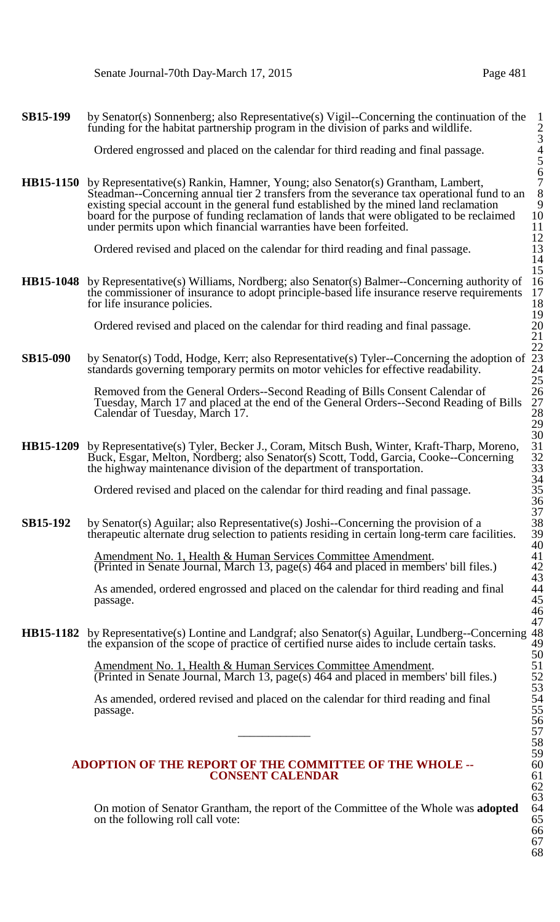**SB15-199** by Senator(s) Sonnenberg; also Representative(s) Vigil--Concerning the continuation of the funding for the habitat partnership program in the division of parks and wildlife.

Ordered engrossed and placed on the calendar for third reading and final passage. 4

**HB15-1150** by Representative(s) Rankin, Hamner, Young; also Senator(s) Grantham, Lambert, Steadman--Concerning annual tier 2 transfers from the severance tax operational fund to an existing special account in the general fund established by the mined land reclamation 9 board for the purpose of funding reclamation of lands that were obligated to be reclaimed 10<br>under permits upon which financial warranties have been forfeited. under permits upon which financial warranties have been forfeited.

Ordered revised and placed on the calendar for third reading and final passage.

**HB15-1048** by Representative(s) Williams, Nordberg; also Senator(s) Balmer--Concerning authority of 16 the commissioner of insurance to adopt principle-based life insurance reserve requirements 17 for life insurance policies. 18

Ordered revised and placed on the calendar for third reading and final passage. 20

**SB15-090** by Senator(s) Todd, Hodge, Kerr; also Representative(s) Tyler--Concerning the adoption of 23 standards governing temporary permits on motor vehicles for effective readability. 24

> Removed from the General Orders--Second Reading of Bills Consent Calendar of 26 Tuesday, March 17 and placed at the end of the General Orders--Second Reading of Bills 27 Calendar of Tuesday, March 17. 28

**HB15-1209** by Representative(s) Tyler, Becker J., Coram, Mitsch Bush, Winter, Kraft-Tharp, Moreno, 31 Buck, Esgar, Melton, Nordberg; also Senator(s) Scott, Todd, Garcia, Cooke--Concerning 32 the highway maintenance division of the department of transportation.  $\frac{33}{2}$ 

Ordered revised and placed on the calendar for third reading and final passage. 35

**SB15-192** by Senator(s) Aguilar; also Representative(s) Joshi--Concerning the provision of a 38 therapeutic alternate drug selection to patients residing in certain long-term care facilities. 39

> Amendment No. 1, Health & Human Services Committee Amendment. 41 (Printed in Senate Journal, March 13, page(s) 464 and placed in members' bill files.) 42

> As amended, ordered engrossed and placed on the calendar for third reading and final 44  $p$ assage.  $45$

**HB15-1182** by Representative(s) Lontine and Landgraf; also Senator(s) Aguilar, Lundberg--Concerning 48 the expansion of the scope of practice of certified nurse aides to include certain tasks. 49

> Amendment No. 1, Health & Human Services Committee Amendment. 51 (Printed in Senate Journal, March 13, page(s) 464 and placed in members' bill files.) 52

> As amended, ordered revised and placed on the calendar for third reading and final 54 passage. 55  $\frac{56}{57}$

#### **ADOPTION OF THE REPORT OF THE COMMITTEE OF THE WHOLE --** 60 **CONSENT CALENDAR** 61

On motion of Senator Grantham, the report of the Committee of the Whole was **adopted** 64 on the following roll call vote: 65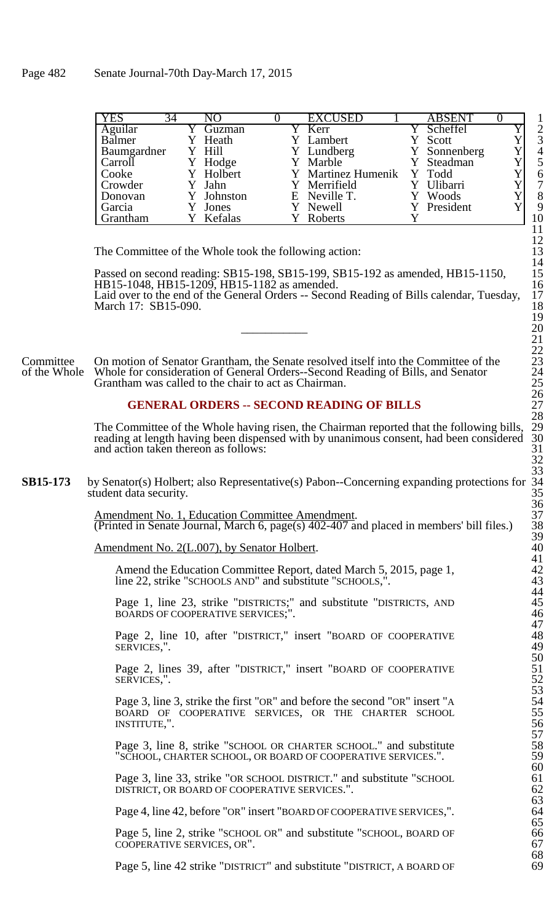| YES               | 34 |            | <b>EXCUSED</b>            | <b>ABSENT</b>   |                |
|-------------------|----|------------|---------------------------|-----------------|----------------|
| Aguilar<br>Balmer |    | Guzman     | Kerr                      | Scheffel        | $\overline{2}$ |
|                   |    | Heath      | Lambert                   | Scott           | 3              |
| Baumgardner       |    | Y Hill     | Y Lundberg                | Y Sonnenberg    | $\overline{4}$ |
| Carroll           |    | Y Hodge    | Y Marble                  | Y Steadman      |                |
| Cooke             |    | Y Holbert  | Y Martinez Humenik Y Todd |                 | 6              |
| Crowder           |    | Y Jahn     | Y Merrifield              | <b>Ulibarri</b> | 7              |
| Donovan           |    | Y Johnston | E Neville T.              | Y Woods         | 8              |
| Garcia            |    | Jones      | Y Newell                  | Y President     | 9              |
| Grantham          |    | Kefalas    | Roberts                   |                 | 10             |

The Committee of the Whole took the following action:

Passed on second reading: SB15-198, SB15-199, SB15-192 as amended, HB15-1150, 15<br>HB15-1048, HB15-1209, HB15-1182 as amended. 16 HB15-1048, HB15-1209, HB15-1182 as amended. Laid over to the end of the General Orders -- Second Reading of Bills calendar, Tuesday, March 17: SB15-090.

Committee On motion of Senator Grantham, the Senate resolved itself into the Committee of the of the Whole Whole for consideration of General Orders-Second Reading of Bills, and Senator Whole for consideration of General Orders--Second Reading of Bills, and Senator Grantham was called to the chair to act as Chairman.

## **GENERAL ORDERS -- SECOND READING OF BILLS** 27

The Committee of the Whole having risen, the Chairman reported that the following bills, 29 reading at length having been dispensed with by unanimous consent, had been considered 30 reading at length having been dispensed with by unanimous consent, had been considered 30 and action taken thereon as follows:  $\frac{31}{2}$ and action taken thereon as follows:

**SB15-173** by Senator(s) Holbert; also Representative(s) Pabon--Concerning expanding protections for student data security.

> Amendment No. 1, Education Committee Amendment.<br>(Printed in Senate Journal, March 6, page(s) 402-407 and placed in members' bill files.) 38 (Printed in Senate Journal, March 6, page(s)  $402-407$  and placed in members' bill files.)

Amendment No. 2(L.007), by Senator Holbert.

Amend the Education Committee Report, dated March 5, 2015, page 1, line 22, strike "SCHOOLS AND" and substitute "SCHOOLS,".

Page 1, line 23, strike "DISTRICTS;" and substitute "DISTRICTS, AND 45 BOARDS OF COOPERATIVE SERVICES;". 46

Page 2, line 10, after "DISTRICT," insert "BOARD OF COOPERATIVE SERVICES.".

Page 2, lines 39, after "DISTRICT," insert "BOARD OF COOPERATIVE SERVICES.". SERVICES,". 52

Page 3, line 3, strike the first "OR" and before the second "OR" insert "A BOARD OF COOPERATIVE SERVICES, OR THE CHARTER SCHOOL 55 INSTITUTE,". 56

Page 3, line 8, strike "SCHOOL OR CHARTER SCHOOL." and substitute "SCHOOL, CHARTER SCHOOL, OR BOARD OF COOPERATIVE SERVICES.".

Page 3, line 33, strike "OR SCHOOL DISTRICT." and substitute "SCHOOL 61<br>DISTRICT, OR BOARD OF COOPERATIVE SERVICES.". 62 DISTRICT, OR BOARD OF COOPERATIVE SERVICES.". 62

Page 4, line 42, before "OR" insert "BOARD OF COOPERATIVE SERVICES,".

Page 5, line 2, strike "SCHOOL OR" and substitute "SCHOOL, BOARD OF COOPERATIVE SERVICES, OR". 67

Page 5, line 42 strike "DISTRICT" and substitute "DISTRICT, A BOARD OF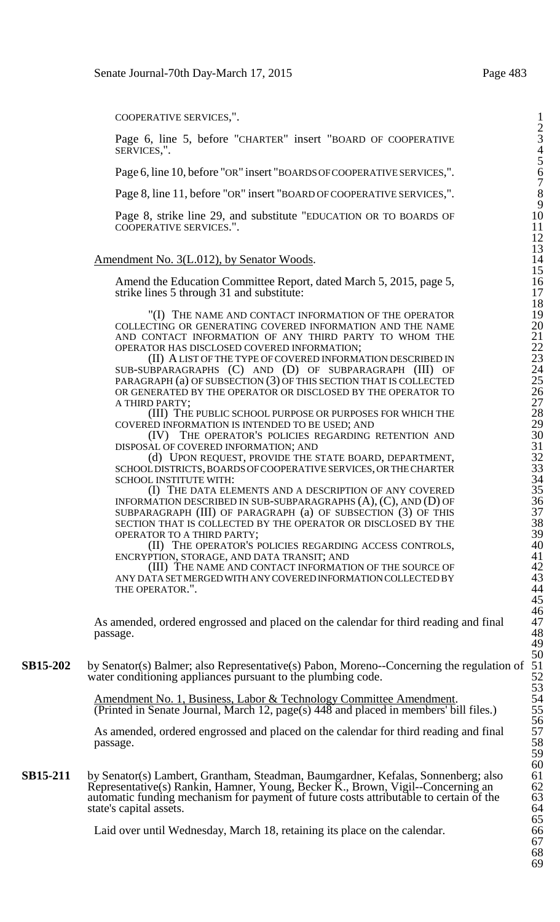COOPERATIVE SERVICES.".

Page 6, line 5, before "CHARTER" insert "BOARD OF COOPERATIVE SERVICES.".

Page 6, line 10, before "OR" insert "BOARDS OF COOPERATIVE SERVICES,".

Page 8, line 11, before "OR" insert "BOARD OF COOPERATIVE SERVICES,".

Page 8, strike line 29, and substitute "EDUCATION OR TO BOARDS OF COOPERATIVE SERVICES.".

### Amendment No. 3(L.012), by Senator Woods.

Amend the Education Committee Report, dated March 5, 2015, page 5, strike lines 5 through 31 and substitute:

"(I) THE NAME AND CONTACT INFORMATION OF THE OPERATOR COLLECTING OR GENERATING COVERED INFORMATION AND THE NAME 20 AND CONTACT INFORMATION OF ANY THIRD PARTY TO WHOM THE 21 OPERATOR HAS DISCLOSED COVERED INFORMATION; 22

(II) A LIST OF THE TYPE OF COVERED INFORMATION DESCRIBED IN 23 SUB-SUBPARAGRAPHS (C) AND (D) OF SUBPARAGRAPH (III) OF 24 PARAGRAPH (a) OF SUBSECTION (3) OF THIS SECTION THAT IS COLLECTED 25 OR GENERATED BY THE OPERATOR OR DISCLOSED BY THE OPERATOR TO A THIRD PARTY;

(III) THE PUBLIC SCHOOL PURPOSE OR PURPOSES FOR WHICH THE COVERED INFORMATION IS INTENDED TO BE USED; AND

(IV) THE OPERATOR'S POLICIES REGARDING RETENTION AND DISPOSAL OF COVERED INFORMATION; AND

(d) UPON REQUEST, PROVIDE THE STATE BOARD, DEPARTMENT, SCHOOL DISTRICTS, BOARDS OF COOPERATIVE SERVICES, OR THE CHARTER SCHOOL INSTITUTE WITH:

(I) THE DATA ELEMENTS AND A DESCRIPTION OF ANY COVERED INFORMATION DESCRIBED IN SUB-SUBPARAGRAPHS  $(A)$ ,  $(C)$ , AND  $(D)$  OF SUBPARAGRAPH  $(III)$  OF PARAGRAPH  $(a)$  OF SUBSECTION  $(3)$  OF THIS SECTION THAT IS COLLECTED BY THE OPERATOR OR DISCLOSED BY THE OPERATOR TO A THIRD PARTY;

(II) THE OPERATOR'S POLICIES REGARDING ACCESS CONTROLS, ENCRYPTION, STORAGE, AND DATA TRANSIT; AND 41

(III) THE NAME AND CONTACT INFORMATION OF THE SOURCE OF ANY DATA SET MERGED WITH ANY COVERED INFORMATION COLLECTED BY 43 THE OPERATOR.".

As amended, ordered engrossed and placed on the calendar for third reading and final  $p$ assage.  $48$ 

**SB15-202** by Senator(s) Balmer; also Representative(s) Pabon, Moreno--Concerning the regulation of water conditioning appliances pursuant to the plumbing code.

> Amendment No. 1, Business, Labor & Technology Committee Amendment. (Printed in Senate Journal, March 12, page(s)  $448$  and placed in members' bill files.)

As amended, ordered engrossed and placed on the calendar for third reading and final passage. 58

**SB15-211** by Senator(s) Lambert, Grantham, Steadman, Baumgardner, Kefalas, Sonnenberg; also 61 Representative(s) Rankin, Hamner, Young, Becker K., Brown, Vigil--Concerning an 62 automatic funding mechanism for payment of future costs attributable to certain of the state's capital assets.

Laid over until Wednesday, March 18, retaining its place on the calendar. 66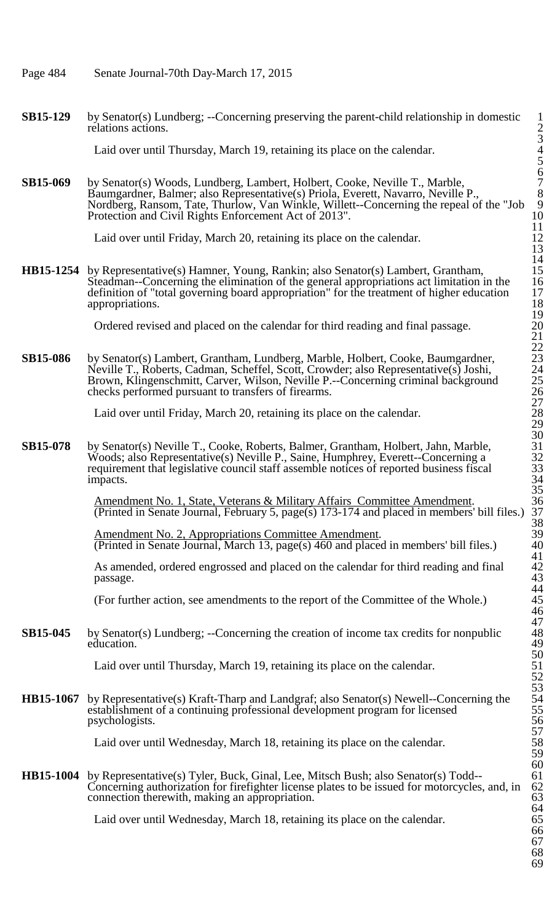- Page 484 Senate Journal-70th Day-March 17, 2015
- **SB15-129** by Senator(s) Lundberg; --Concerning preserving the parent-child relationship in domestic relations actions.

Laid over until Thursday, March 19, retaining its place on the calendar.

**SB15-069** by Senator(s) Woods, Lundberg, Lambert, Holbert, Cooke, Neville T., Marble, Baumgardner, Balmer; also Representative(s) Priola, Everett, Navarro, Neville P., 8 Nordberg, Ransom, Tate, Thurlow, Van Winkle, Willett--Concerning the repeal of the "Job 9 Protection and Civil Rights Enforcement Act of 2013". 10

Laid over until Friday, March 20, retaining its place on the calendar.

**HB15-1254** by Representative(s) Hamner, Young, Rankin; also Senator(s) Lambert, Grantham, 15 Steadman--Concerning the elimination of the general appropriations act limitation in the 16 definition of "total governing board appropriation" for the treatment of higher education 17 appropriations.  $\sim$  18

Ordered revised and placed on the calendar for third reading and final passage.

SB15-086 by Senator(s) Lambert, Grantham, Lundberg, Marble, Holbert, Cooke, Baumgardner, Neville T., Roberts, Cadman, Scheffel, Scott, Crowder; also Representative(s) Joshi, 24 Brown, Klingenschmitt, Carver, Wilson, Neville P.--Concerning criminal background 25 checks performed pursuant to transfers of firearms. 26

Laid over until Friday, March 20, retaining its place on the calendar.

**SB15-078** by Senator(s) Neville T., Cooke, Roberts, Balmer, Grantham, Holbert, Jahn, Marble, 31 Woods; also Representative(s) Neville P., Saine, Humphrey, Everett--Concerning a requirement that legislative council staff assemble notices of reported business fiscal impacts.  $\frac{34}{3}$ 

> Amendment No. 1, State, Veterans & Military Affairs Committee Amendment. 36 (Printed in Senate Journal, February 5, page(s) 173-174 and placed in members' bill files.) 37

Amendment No. 2, Appropriations Committee Amendment. (Printed in Senate Journal, March 13, page(s)  $460$  and placed in members' bill files.)

As amended, ordered engrossed and placed on the calendar for third reading and final passage.  $p$ assage.  $43$ 

(For further action, see amendments to the report of the Committee of the Whole.) 45

**SB15-045** by Senator(s) Lundberg; --Concerning the creation of income tax credits for nonpublic education. education. 49

Laid over until Thursday, March 19, retaining its place on the calendar.

**HB15-1067** by Representative(s) Kraft-Tharp and Landgraf; also Senator(s) Newell--Concerning the establishment of a continuing professional development program for licensed psychologists. 56

Laid over until Wednesday, March 18, retaining its place on the calendar.

**HB15-1004** by Representative(s) Tyler, Buck, Ginal, Lee, Mitsch Bush; also Senator(s) Todd--Concerning authorization for firefighter license plates to be issued for motorcycles, and, in 62 connection therewith, making an appropriation.

Laid over until Wednesday, March 18, retaining its place on the calendar.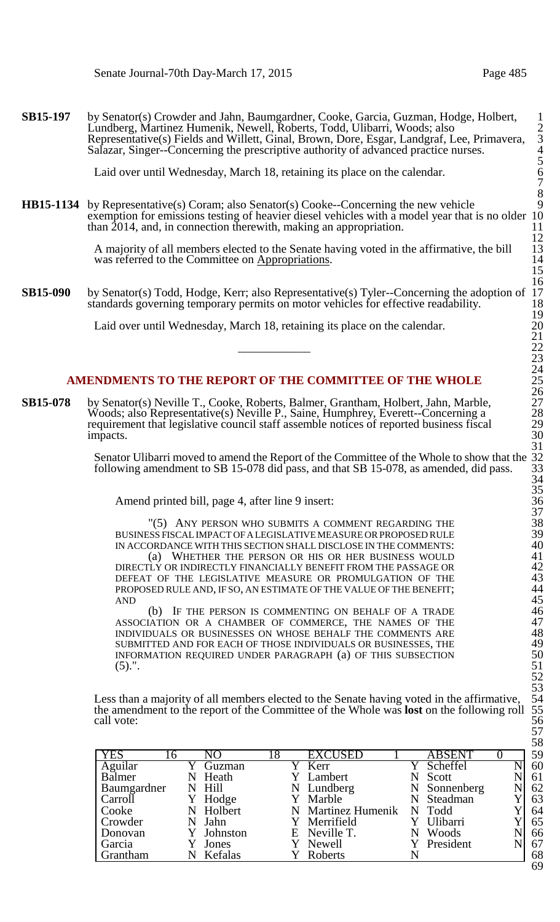**SB15-197** by Senator(s) Crowder and Jahn, Baumgardner, Cooke, Garcia, Guzman, Hodge, Holbert, 1 Lundberg, Martinez Humenik, Newell, Roberts, Todd, Ulibarri, Woods; also 2 Representative(s) Fields and Willett, Ginal, Brown, Dore, Esgar, Landgraf, Lee, Primavera, 3 Salazar, Singer--Concerning the prescriptive authority of advanced practice nurses. 4

Laid over until Wednesday, March 18, retaining its place on the calendar.

**HB15-1134** by Representative(s) Coram; also Senator(s) Cooke--Concerning the new vehicle exemption for emissions testing of heavier diesel vehicles with a model year that is no older 10 than 2014, and, in connection therewith, making an appropriation. than  $2014$ , and, in connection therewith, making an appropriation.

> A majority of all members elected to the Senate having voted in the affirmative, the bill 13 was referred to the Committee on Appropriations. was referred to the Committee on Appropriations.

**SB15-090** by Senator(s) Todd, Hodge, Kerr; also Representative(s) Tyler--Concerning the adoption of 17 standards governing temporary permits on motor vehicles for effective readability. standards governing temporary permits on motor vehicles for effective readability.

Laid over until Wednesday, March 18, retaining its place on the calendar.

## AMENDMENTS TO THE REPORT OF THE COMMITTEE OF THE WHOLE

**SB15-078** by Senator(s) Neville T., Cooke, Roberts, Balmer, Grantham, Holbert, Jahn, Marble, Woods; also Representative(s) Neville P., Saine, Humphrey, Everett--Concerning a 28 requirement that legislative council staff assemble notices of reported business fiscal impacts. 30

> Senator Ulibarri moved to amend the Report of the Committee of the Whole to show that the following amendment to SB 15-078 did pass, and that SB 15-078, as amended, did pass.

Amend printed bill, page 4, after line 9 insert:

"(5) ANY PERSON WHO SUBMITS A COMMENT REGARDING THE BUSINESS FISCAL IMPACT OF A LEGISLATIVE MEASURE OR PROPOSED RULE IN ACCORDANCE WITH THIS SECTION SHALL DISCLOSE IN THE COMMENTS: (a) WHETHER THE PERSON OR HIS OR HER BUSINESS WOULD DIRECTLY OR INDIRECTLY FINANCIALLY BENEFIT FROM THE PASSAGE OR 42 DEFEAT OF THE LEGISLATIVE MEASURE OR PROMULGATION OF THE PROPOSED RULE AND, IF SO, AN ESTIMATE OF THE VALUE OF THE BENEFIT;  $AND$  45

(b) IF THE PERSON IS COMMENTING ON BEHALF OF A TRADE ASSOCIATION OR A CHAMBER OF COMMERCE, THE NAMES OF THE INDIVIDUALS OR BUSINESSES ON WHOSE BEHALF THE COMMENTS ARE SUBMITTED AND FOR EACH OF THOSE INDIVIDUALS OR BUSINESSES, THE INFORMATION REQUIRED UNDER PARAGRAPH (a) OF THIS SUBSECTION  $(5).$ ". 51

Less than a majority of all members elected to the Senate having voted in the affirmative, the amendment to the report of the Committee of the Whole was **lost** on the following roll 55 call vote: 56

| <b>YES</b>        | 16 |            | 18 | <b>EXCUSED</b>     | <b>ABSENT</b> | 59 |
|-------------------|----|------------|----|--------------------|---------------|----|
| Aguilar<br>Balmer |    | Guzman     |    | Y Kerr             | Scheffel      | 60 |
|                   |    | Heath      |    | Lambert            | Scott         | 61 |
| Baumgardner       |    | N Hill     |    | N Lundberg         | N Sonnenberg  | 62 |
| Carroll           |    | Hodge      |    | Y Marble           | Steadman      | 63 |
| Cooke             |    | Holbert    |    | N Martinez Humenik | N Todd        | 64 |
| Crowder           |    | Jahn       |    | Y Merrifield       | Ulibarri      | 65 |
| Donovan           |    | Y Johnston |    | E Neville T.       | Woods         | 66 |
| Garcia            |    | Jones      |    | Newell             | Y President   | 67 |
| l Grantham        |    | Kefalas    |    | Roberts            |               | 68 |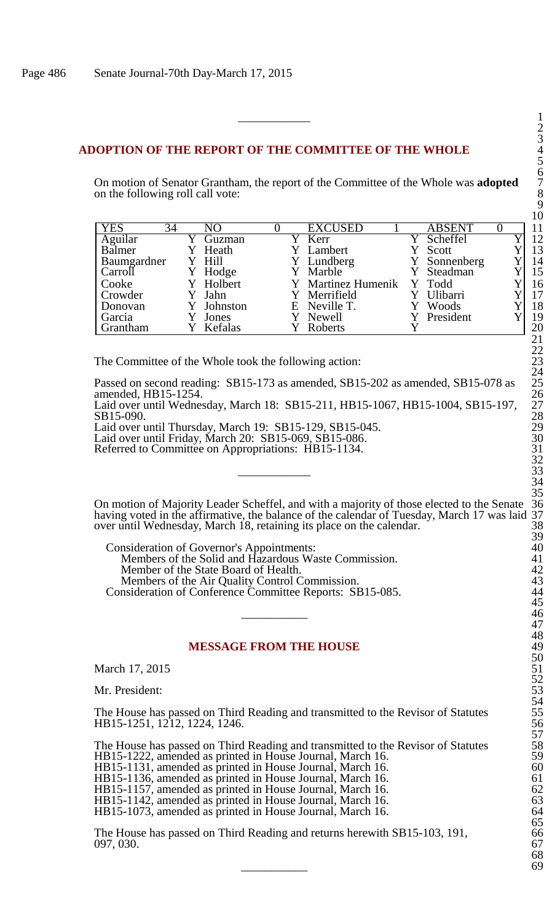### **ADOPTION OF THE REPORT OF THE COMMITTEE OF THE WHOLE** 4

On motion of Senator Grantham, the report of the Committee of the Whole was **adopted** 7 on the following roll call vote:

| <b>YES</b><br>34 | NΟ         |  | <b>EXCUSED</b>            | <b>ABSENT</b> |  |    |
|------------------|------------|--|---------------------------|---------------|--|----|
| Aguilar          | Guzman     |  | Y Kerr                    | Y Scheffel    |  |    |
| Balmer           | Heath      |  | Lambert                   | Scott         |  |    |
| Baumgardner      | Y Hill     |  | Y Lundberg                | Y Sonnenberg  |  | 14 |
| Carroll          | Y Hodge    |  | Y Marble                  | Y Steadman    |  | 15 |
| Cooke            | Y Holbert  |  | Y Martinez Humenik Y Todd |               |  | 16 |
| Crowder          | Jahn       |  | Y Merrifield              | Ulibarri      |  | 17 |
| Donovan          | Y Johnston |  | E Neville T.              | Woods         |  | 18 |
| Garcia           | Jones      |  | Y Newell                  | Y President   |  | 19 |
| <b>Grantham</b>  | Kefalas    |  | <b>Roberts</b>            |               |  | 20 |

The Committee of the Whole took the following action: 23

Passed on second reading: SB15-173 as amended, SB15-202 as amended, SB15-078 as 25 amended, HB15-1254. <sup>26</sup> 26

Laid over until Wednesday, March 18: SB15-211, HB15-1067, HB15-1004, SB15-197, 27 SB15-090. 28

Laid over until Thursday, March 19: SB15-129, SB15-045. 29

Laid over until Friday, March 20: SB15-069, SB15-086. 30 Referred to Committee on Appropriations: HB15-1134. 31

On motion of Majority Leader Scheffel, and with a majority of those elected to the Senate 36 having voted in the affirmative, the balance of the calendar of Tuesday, March 17 was laid 37 over until Wednesday, March 18, retaining its place on the calendar. 38

Consideration of Governor's Appointments: 40 Members of the Solid and Hazardous Waste Commission. 41 Member of the State Board of Health. Members of the Air Quality Control Commission. Consideration of Conference Committee Reports: SB15-085. 44  $\frac{45}{46}$ 

#### **MESSAGE FROM THE HOUSE**

March 17, 2015

Mr. President:

The House has passed on Third Reading and transmitted to the Revisor of Statutes HB15-1251, 1212, 1224, 1246.

The House has passed on Third Reading and transmitted to the Revisor of Statutes HB15-1222, amended as printed in House Journal, March 16. 59 HB15-1131, amended as printed in House Journal, March 16. 60 HB15-1136, amended as printed in House Journal, March 16. HB15-1157, amended as printed in House Journal, March 16. HB15-1142, amended as printed in House Journal, March 16. 63 HB15-1073, amended as printed in House Journal, March 16. 64

The House has passed on Third Reading and returns herewith SB15-103, 191, 097, 030. 67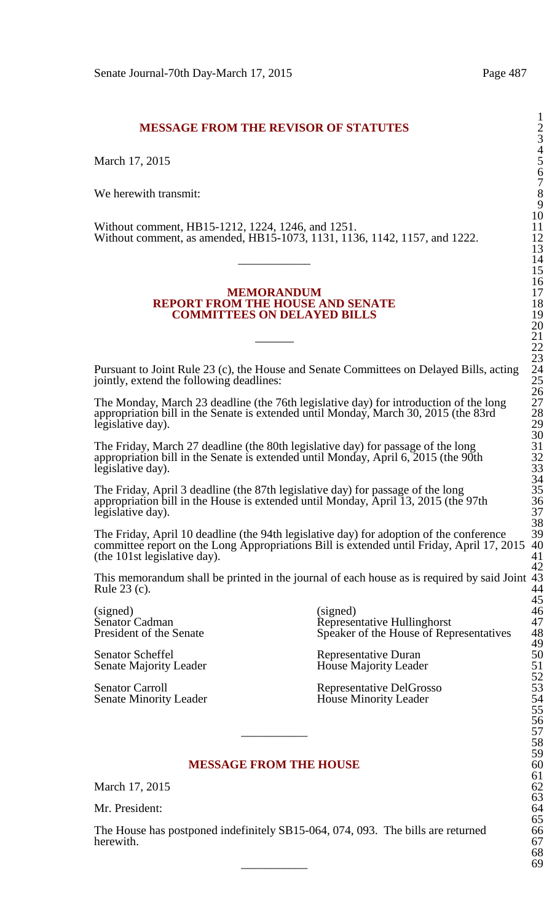# **MESSAGE FROM THE REVISOR OF STATUTES** 2

March 17, 2015

We herewith transmit:

Without comment, HB15-1212, 1224, 1246, and 1251. 11 Without comment, as amended, HB15-1073, 1131, 1136, 1142, 1157, and 1222. 12  $\frac{13}{14}$ 

#### **MEMORANDUM REPORT FROM THE HOUSE AND SENATE COMMITTEES ON DELAYED BILLS**

Pursuant to Joint Rule 23 (c), the House and Senate Committees on Delayed Bills, acting jointly, extend the following deadlines:

The Monday, March 23 deadline (the 76th legislative day) for introduction of the long 27 appropriation bill in the Senate is extended until Monday, March 30, 2015 (the 83rd legislative day).

The Friday, March 27 deadline (the 80th legislative day) for passage of the long appropriation bill in the Senate is extended until Monday, April 6, 2015 (the 90th legislative day).

The Friday, April 3 deadline (the 87th legislative day) for passage of the long appropriation bill in the House is extended until Monday, April 13, 2015 (the 97th legislative day).

The Friday, April 10 deadline (the 94th legislative day) for adoption of the conference 39<br>committee report on the Long Appropriations Bill is extended until Friday. April 17, 2015 40 committee report on the Long Appropriations Bill is extended until Friday, April 17, 2015 40<br>(the 101st legislative day). (the  $101st$  legislative day).

This memorandum shall be printed in the journal of each house as is required by said Joint 43<br>Rule 23 (c). 44 Rule  $23$  (c).

Senator Scheffel<br>
Senate Majority Leader<br>
House Majority Leader<br>
House Majority Leader

(signed) (signed) 46 Senator Cadman<br>
Senator Cadman Representative Hullinghorst 47<br>
President of the Senate Speaker of the House of Representatives 48 Speaker of the House of Representatives

House Majority Leader

Senator Carroll<br>
Senate Minority Leader<br>
House Minority Leader<br>
House Minority Leader House Minority Leader

## **MESSAGE FROM THE HOUSE**

March 17, 2015

Mr. President:

The House has postponed indefinitely SB15-064, 074, 093. The bills are returned 66<br>herewith. 67 herewith. 67  $\frac{68}{69}$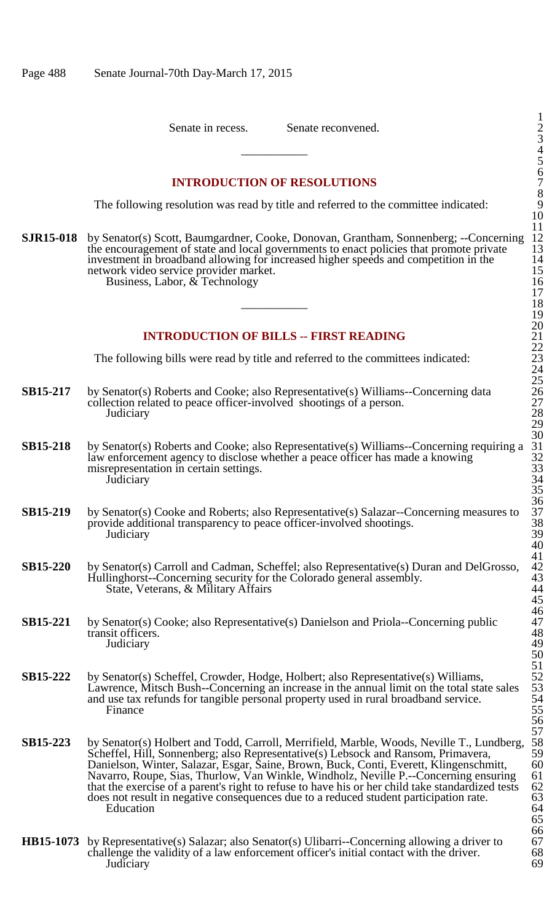Senate in recess. Senate reconvened.

## **INTRODUCTION OF RESOLUTIONS**

The following resolution was read by title and referred to the committee indicated:

**SJR15-018** by Senator(s) Scott, Baumgardner, Cooke, Donovan, Grantham, Sonnenberg; --Concerning 12 the encouragement of state and local governments to enact policies that promote private 13 the encouragement of state and local governments to enact policies that promote private is not investment in broadband allowing for increased higher speeds and competition in the 14 investment in broadband allowing for increased higher speeds and competition in the 14<br>network video service provider market.<br>Business, Labor, & Technology<br>17<br>18 network video service provider market. Business, Labor,  $\&$  Technology

### **INTRODUCTION OF BILLS -- FIRST READING**

The following bills were read by title and referred to the committees indicated:

- **SB15-217** by Senator(s) Roberts and Cooke; also Representative(s) Williams--Concerning data collection related to peace officer-involved shootings of a person.<br>Judiciary Judiciary 28
- **SB15-218** by Senator(s) Roberts and Cooke; also Representative(s) Williams--Concerning requiring a law enforcement agency to disclose whether a peace officer has made a knowing misrepresentation in certain settings.<br>Judiciary Judiciary 34
- **SB15-219** by Senator(s) Cooke and Roberts; also Representative(s) Salazar--Concerning measures to 37 provide additional transparency to peace officer-involved shootings. Judiciary 39 provide additional transparency to peace officer-involved shootings.<br>Judiciary Judiciary 39
- **SB15-220** by Senator(s) Carroll and Cadman, Scheffel; also Representative(s) Duran and DelGrosso, Hullinghorst--Concerning security for the Colorado general assembly. State, Veterans, & Military Affairs
- **SB15-221** by Senator(s) Cooke; also Representative(s) Danielson and Priola--Concerning public 47<br>48 transit officers. 48<br>
Judiciary 49 Judiciary 49
- **SB15-222** by Senator(s) Scheffel, Crowder, Hodge, Holbert; also Representative(s) Williams, Lawrence, Mitsch Bush--Concerning an increase in the annual limit on the total state sales and use tax refunds for tangible personal property used in rural broadband service.<br>Finance Finance 55
- **SB15-223** by Senator(s) Holbert and Todd, Carroll, Merrifield, Marble, Woods, Neville T., Lundberg, 58<br>Scheffel, Hill, Sonnenberg: also Representative(s) Lebsock and Ransom, Primavera. 59 Scheffel, Hill, Sonnenberg; also Representative(s) Lebsock and Ransom, Primavera, 59<br>Danielson, Winter, Salazar, Esgar, Saine, Brown, Buck, Conti, Everett, Klingenschmitt, 60 Danielson, Winter, Salazar, Esgar, Šaine, Brown, Buck, Conti, Everett, Klingenschmitt, 60<br>Navarro, Roupe, Sias, Thurlow, Van Winkle, Windholz, Neville P.--Concerning ensuring 61 Navarro, Roupe, Sias, Thurlow, Van Winkle, Windholz, Neville P.--Concerning ensuring 61 that the exercise of a parent's right to refuse to have his or her child take standardized tests 62 does not result in negative consequences due to a reduced student participation rate. 63<br>Education 64 Education 64
- **HB15-1073** by Representative(s) Salazar; also Senator(s) Ulibarri--Concerning allowing a driver to 67 challenge the validity of a law enforcement officer's initial contact with the driver. 68 challenge the validity of a law enforcement officer's initial contact with the driver. 68<br>Judiciary 69 Judiciary 69